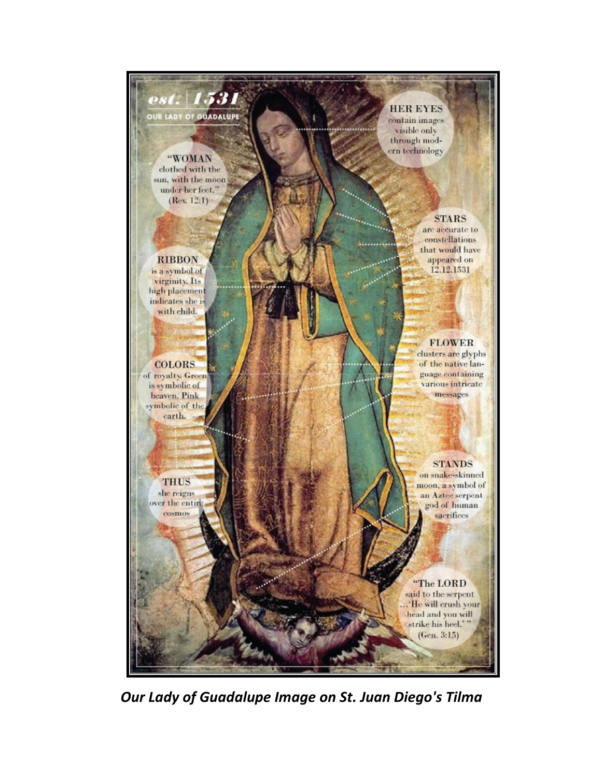

*Our Lady of Guadalupe Image on St. Juan Diego's Tilma*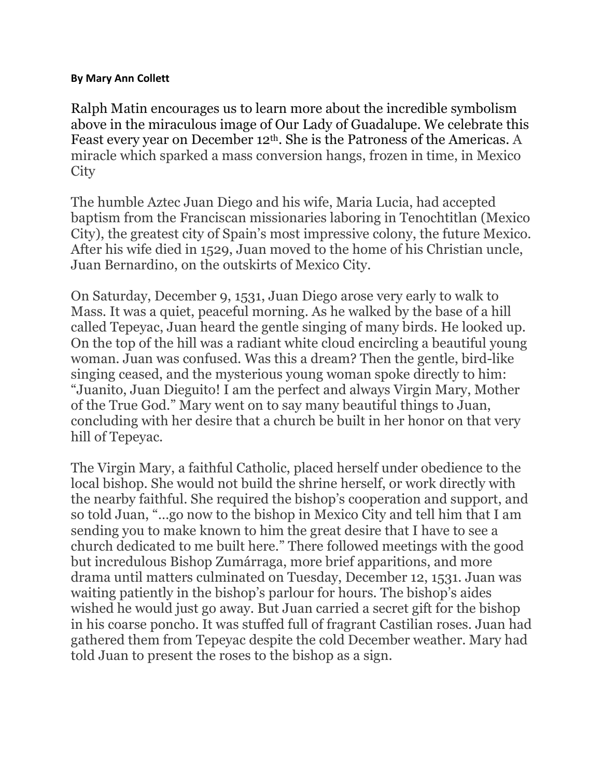## **By Mary Ann Collett**

Ralph Matin encourages us to learn more about the incredible symbolism above in the miraculous image of Our Lady of Guadalupe. We celebrate this Feast every year on December 12th. She is the Patroness of the Americas. A miracle which sparked a mass conversion hangs, frozen in time, in Mexico **City** 

The humble Aztec Juan Diego and his wife, Maria Lucia, had accepted baptism from the Franciscan missionaries laboring in Tenochtitlan (Mexico City), the greatest city of Spain's most impressive colony, the future Mexico. After his wife died in 1529, Juan moved to the home of his Christian uncle, Juan Bernardino, on the outskirts of Mexico City.

On Saturday, December 9, 1531, Juan Diego arose very early to walk to Mass. It was a quiet, peaceful morning. As he walked by the base of a hill called Tepeyac, Juan heard the gentle singing of many birds. He looked up. On the top of the hill was a radiant white cloud encircling a beautiful young woman. Juan was confused. Was this a dream? Then the gentle, bird-like singing ceased, and the mysterious young woman spoke directly to him: "Juanito, Juan Dieguito! I am the perfect and always Virgin Mary, Mother of the True God." Mary went on to say many beautiful things to Juan, concluding with her desire that a church be built in her honor on that very hill of Tepeyac.

The Virgin Mary, a faithful Catholic, placed herself under obedience to the local bishop. She would not build the shrine herself, or work directly with the nearby faithful. She required the bishop's cooperation and support, and so told Juan, "…go now to the bishop in Mexico City and tell him that I am sending you to make known to him the great desire that I have to see a church dedicated to me built here." There followed meetings with the good but incredulous Bishop Zumárraga, more brief apparitions, and more drama until matters culminated on Tuesday, December 12, 1531. Juan was waiting patiently in the bishop's parlour for hours. The bishop's aides wished he would just go away. But Juan carried a secret gift for the bishop in his coarse poncho. It was stuffed full of fragrant Castilian roses. Juan had gathered them from Tepeyac despite the cold December weather. Mary had told Juan to present the roses to the bishop as a sign.